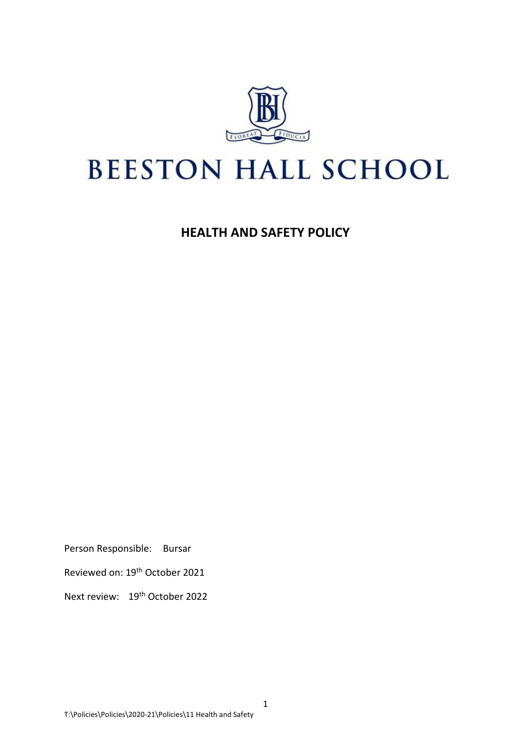

# **BEESTON HALL SCHOOL**

**HEALTH AND SAFETY POLICY**

Person Responsible: Bursar

Reviewed on: 19th October 2021

Next review: 19<sup>th</sup> October 2022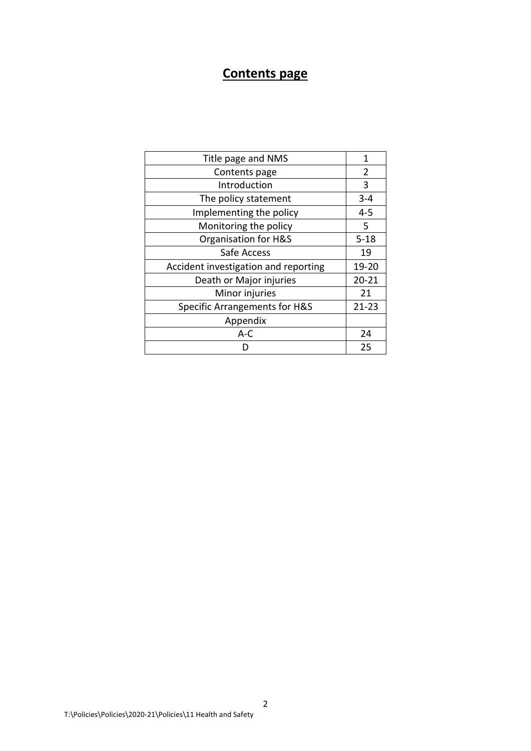## **Contents page**

| Title page and NMS                       | 1         |
|------------------------------------------|-----------|
| Contents page                            | 2         |
| Introduction                             | 3         |
| The policy statement                     | $3 - 4$   |
| Implementing the policy                  | $4 - 5$   |
| Monitoring the policy                    | 5         |
| Organisation for H&S                     | $5 - 18$  |
| Safe Access                              | 19        |
| Accident investigation and reporting     | 19-20     |
| Death or Major injuries                  | $20 - 21$ |
| Minor injuries                           | 21        |
| <b>Specific Arrangements for H&amp;S</b> | 21-23     |
| Appendix                                 |           |
| $A-C$                                    | 24        |
|                                          | 25        |
|                                          |           |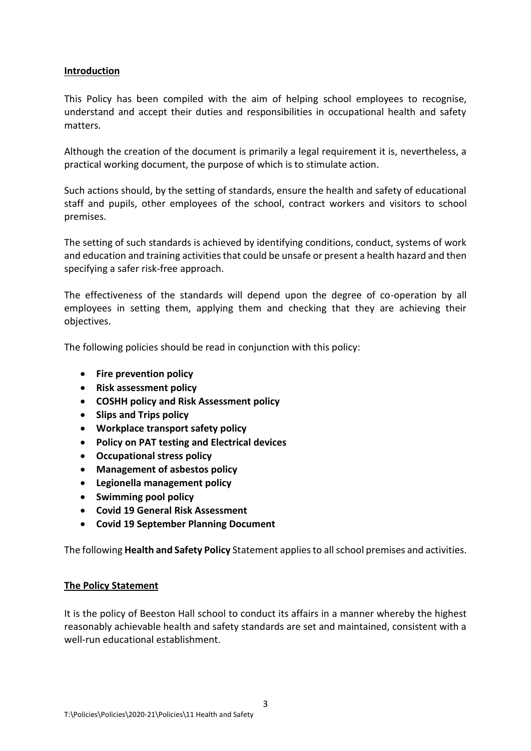#### **Introduction**

This Policy has been compiled with the aim of helping school employees to recognise, understand and accept their duties and responsibilities in occupational health and safety matters.

Although the creation of the document is primarily a legal requirement it is, nevertheless, a practical working document, the purpose of which is to stimulate action.

Such actions should, by the setting of standards, ensure the health and safety of educational staff and pupils, other employees of the school, contract workers and visitors to school premises.

The setting of such standards is achieved by identifying conditions, conduct, systems of work and education and training activities that could be unsafe or present a health hazard and then specifying a safer risk-free approach.

The effectiveness of the standards will depend upon the degree of co-operation by all employees in setting them, applying them and checking that they are achieving their objectives.

The following policies should be read in conjunction with this policy:

- **Fire prevention policy**
- **Risk assessment policy**
- **COSHH policy and Risk Assessment policy**
- **Slips and Trips policy**
- **Workplace transport safety policy**
- **Policy on PAT testing and Electrical devices**
- **Occupational stress policy**
- **Management of asbestos policy**
- **Legionella management policy**
- **Swimming pool policy**
- **Covid 19 General Risk Assessment**
- **Covid 19 September Planning Document**

The following **Health and Safety Policy** Statement applies to all school premises and activities.

#### **The Policy Statement**

It is the policy of Beeston Hall school to conduct its affairs in a manner whereby the highest reasonably achievable health and safety standards are set and maintained, consistent with a well-run educational establishment.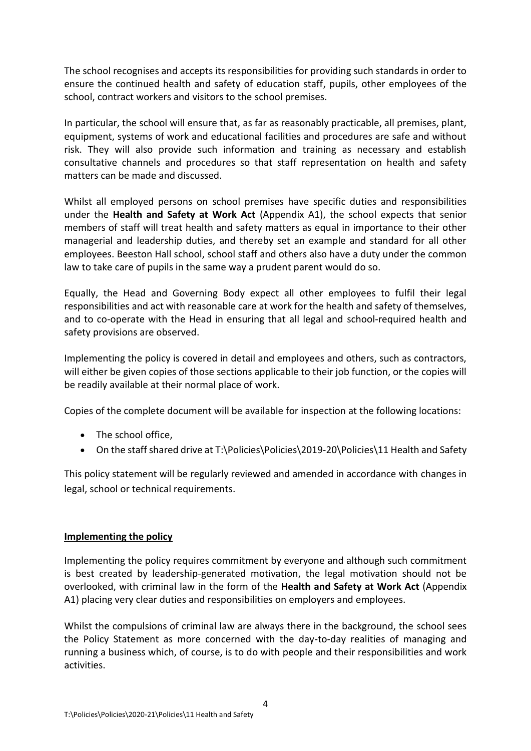The school recognises and accepts its responsibilities for providing such standards in order to ensure the continued health and safety of education staff, pupils, other employees of the school, contract workers and visitors to the school premises.

In particular, the school will ensure that, as far as reasonably practicable, all premises, plant, equipment, systems of work and educational facilities and procedures are safe and without risk. They will also provide such information and training as necessary and establish consultative channels and procedures so that staff representation on health and safety matters can be made and discussed.

Whilst all employed persons on school premises have specific duties and responsibilities under the **Health and Safety at Work Act** (Appendix A1), the school expects that senior members of staff will treat health and safety matters as equal in importance to their other managerial and leadership duties, and thereby set an example and standard for all other employees. Beeston Hall school, school staff and others also have a duty under the common law to take care of pupils in the same way a prudent parent would do so.

Equally, the Head and Governing Body expect all other employees to fulfil their legal responsibilities and act with reasonable care at work for the health and safety of themselves, and to co-operate with the Head in ensuring that all legal and school-required health and safety provisions are observed.

Implementing the policy is covered in detail and employees and others, such as contractors, will either be given copies of those sections applicable to their job function, or the copies will be readily available at their normal place of work.

Copies of the complete document will be available for inspection at the following locations:

- The school office,
- On the staff shared drive at T:\Policies\Policies\2019-20\Policies\11 Health and Safety

This policy statement will be regularly reviewed and amended in accordance with changes in legal, school or technical requirements.

## **Implementing the policy**

Implementing the policy requires commitment by everyone and although such commitment is best created by leadership-generated motivation, the legal motivation should not be overlooked, with criminal law in the form of the **Health and Safety at Work Act** (Appendix A1) placing very clear duties and responsibilities on employers and employees.

Whilst the compulsions of criminal law are always there in the background, the school sees the Policy Statement as more concerned with the day-to-day realities of managing and running a business which, of course, is to do with people and their responsibilities and work activities.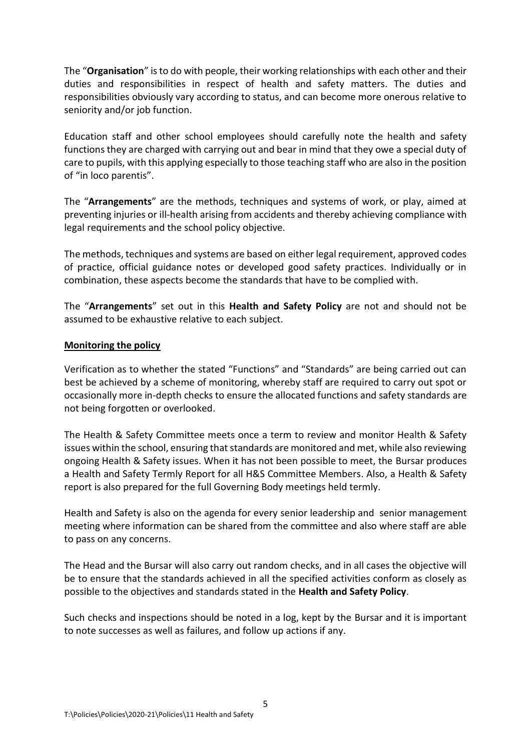The "**Organisation**" is to do with people, their working relationships with each other and their duties and responsibilities in respect of health and safety matters. The duties and responsibilities obviously vary according to status, and can become more onerous relative to seniority and/or job function.

Education staff and other school employees should carefully note the health and safety functions they are charged with carrying out and bear in mind that they owe a special duty of care to pupils, with this applying especially to those teaching staff who are also in the position of "in loco parentis".

The "**Arrangements**" are the methods, techniques and systems of work, or play, aimed at preventing injuries or ill-health arising from accidents and thereby achieving compliance with legal requirements and the school policy objective.

The methods, techniques and systems are based on either legal requirement, approved codes of practice, official guidance notes or developed good safety practices. Individually or in combination, these aspects become the standards that have to be complied with.

The "**Arrangements**" set out in this **Health and Safety Policy** are not and should not be assumed to be exhaustive relative to each subject.

## **Monitoring the policy**

Verification as to whether the stated "Functions" and "Standards" are being carried out can best be achieved by a scheme of monitoring, whereby staff are required to carry out spot or occasionally more in-depth checks to ensure the allocated functions and safety standards are not being forgotten or overlooked.

The Health & Safety Committee meets once a term to review and monitor Health & Safety issues within the school, ensuring that standards are monitored and met, while also reviewing ongoing Health & Safety issues. When it has not been possible to meet, the Bursar produces a Health and Safety Termly Report for all H&S Committee Members. Also, a Health & Safety report is also prepared for the full Governing Body meetings held termly.

Health and Safety is also on the agenda for every senior leadership and senior management meeting where information can be shared from the committee and also where staff are able to pass on any concerns.

The Head and the Bursar will also carry out random checks, and in all cases the objective will be to ensure that the standards achieved in all the specified activities conform as closely as possible to the objectives and standards stated in the **Health and Safety Policy**.

Such checks and inspections should be noted in a log, kept by the Bursar and it is important to note successes as well as failures, and follow up actions if any.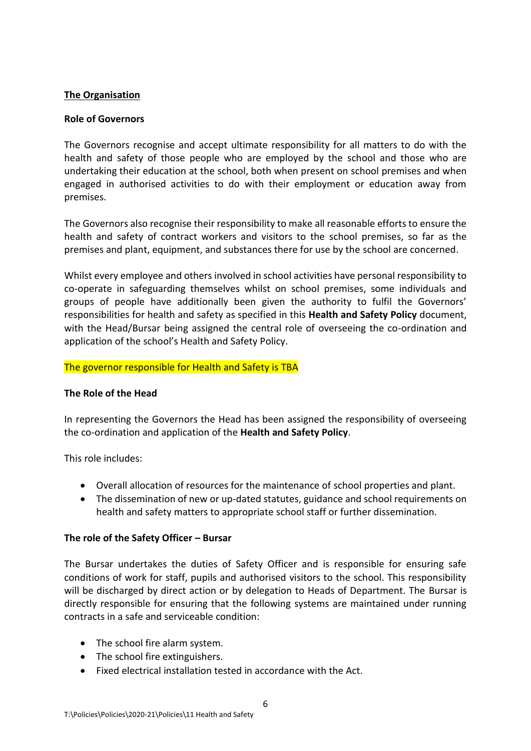#### **The Organisation**

#### **Role of Governors**

The Governors recognise and accept ultimate responsibility for all matters to do with the health and safety of those people who are employed by the school and those who are undertaking their education at the school, both when present on school premises and when engaged in authorised activities to do with their employment or education away from premises.

The Governors also recognise their responsibility to make all reasonable efforts to ensure the health and safety of contract workers and visitors to the school premises, so far as the premises and plant, equipment, and substances there for use by the school are concerned.

Whilst every employee and others involved in school activities have personal responsibility to co-operate in safeguarding themselves whilst on school premises, some individuals and groups of people have additionally been given the authority to fulfil the Governors' responsibilities for health and safety as specified in this **Health and Safety Policy** document, with the Head/Bursar being assigned the central role of overseeing the co-ordination and application of the school's Health and Safety Policy.

#### The governor responsible for Health and Safety is TBA

## **The Role of the Head**

In representing the Governors the Head has been assigned the responsibility of overseeing the co-ordination and application of the **Health and Safety Policy**.

This role includes:

- Overall allocation of resources for the maintenance of school properties and plant.
- The dissemination of new or up-dated statutes, guidance and school requirements on health and safety matters to appropriate school staff or further dissemination.

#### **The role of the Safety Officer – Bursar**

The Bursar undertakes the duties of Safety Officer and is responsible for ensuring safe conditions of work for staff, pupils and authorised visitors to the school. This responsibility will be discharged by direct action or by delegation to Heads of Department. The Bursar is directly responsible for ensuring that the following systems are maintained under running contracts in a safe and serviceable condition:

- The school fire alarm system.
- The school fire extinguishers.
- Fixed electrical installation tested in accordance with the Act.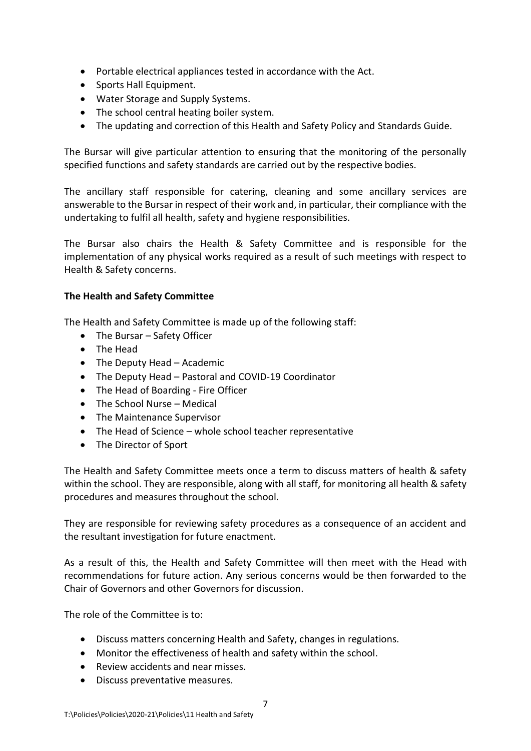- Portable electrical appliances tested in accordance with the Act.
- Sports Hall Equipment.
- Water Storage and Supply Systems.
- The school central heating boiler system.
- The updating and correction of this Health and Safety Policy and Standards Guide.

The Bursar will give particular attention to ensuring that the monitoring of the personally specified functions and safety standards are carried out by the respective bodies.

The ancillary staff responsible for catering, cleaning and some ancillary services are answerable to the Bursar in respect of their work and, in particular, their compliance with the undertaking to fulfil all health, safety and hygiene responsibilities.

The Bursar also chairs the Health & Safety Committee and is responsible for the implementation of any physical works required as a result of such meetings with respect to Health & Safety concerns.

## **The Health and Safety Committee**

The Health and Safety Committee is made up of the following staff:

- The Bursar Safety Officer
- The Head
- The Deputy Head Academic
- The Deputy Head Pastoral and COVID-19 Coordinator
- The Head of Boarding Fire Officer
- The School Nurse Medical
- The Maintenance Supervisor
- The Head of Science whole school teacher representative
- The Director of Sport

The Health and Safety Committee meets once a term to discuss matters of health & safety within the school. They are responsible, along with all staff, for monitoring all health & safety procedures and measures throughout the school.

They are responsible for reviewing safety procedures as a consequence of an accident and the resultant investigation for future enactment.

As a result of this, the Health and Safety Committee will then meet with the Head with recommendations for future action. Any serious concerns would be then forwarded to the Chair of Governors and other Governors for discussion.

The role of the Committee is to:

- Discuss matters concerning Health and Safety, changes in regulations.
- Monitor the effectiveness of health and safety within the school.
- Review accidents and near misses.
- Discuss preventative measures.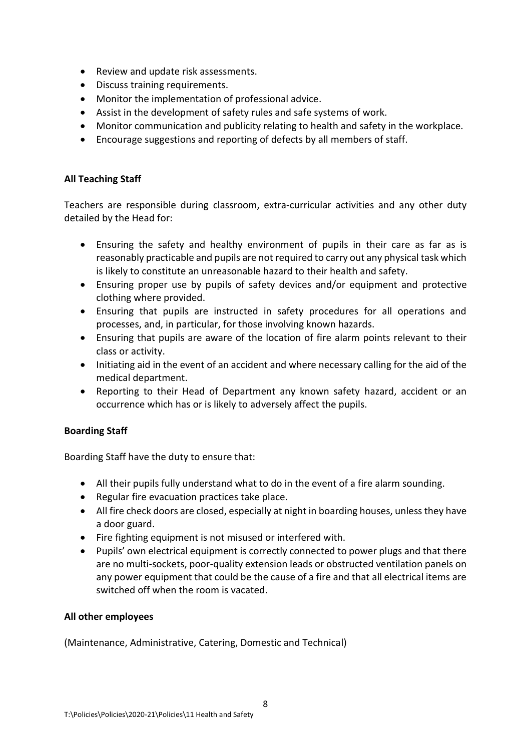- Review and update risk assessments.
- Discuss training requirements.
- Monitor the implementation of professional advice.
- Assist in the development of safety rules and safe systems of work.
- Monitor communication and publicity relating to health and safety in the workplace.
- Encourage suggestions and reporting of defects by all members of staff.

### **All Teaching Staff**

Teachers are responsible during classroom, extra-curricular activities and any other duty detailed by the Head for:

- Ensuring the safety and healthy environment of pupils in their care as far as is reasonably practicable and pupils are not required to carry out any physical task which is likely to constitute an unreasonable hazard to their health and safety.
- Ensuring proper use by pupils of safety devices and/or equipment and protective clothing where provided.
- Ensuring that pupils are instructed in safety procedures for all operations and processes, and, in particular, for those involving known hazards.
- Ensuring that pupils are aware of the location of fire alarm points relevant to their class or activity.
- Initiating aid in the event of an accident and where necessary calling for the aid of the medical department.
- Reporting to their Head of Department any known safety hazard, accident or an occurrence which has or is likely to adversely affect the pupils.

## **Boarding Staff**

Boarding Staff have the duty to ensure that:

- All their pupils fully understand what to do in the event of a fire alarm sounding.
- Regular fire evacuation practices take place.
- All fire check doors are closed, especially at night in boarding houses, unless they have a door guard.
- Fire fighting equipment is not misused or interfered with.
- Pupils' own electrical equipment is correctly connected to power plugs and that there are no multi-sockets, poor-quality extension leads or obstructed ventilation panels on any power equipment that could be the cause of a fire and that all electrical items are switched off when the room is vacated.

#### **All other employees**

(Maintenance, Administrative, Catering, Domestic and Technical)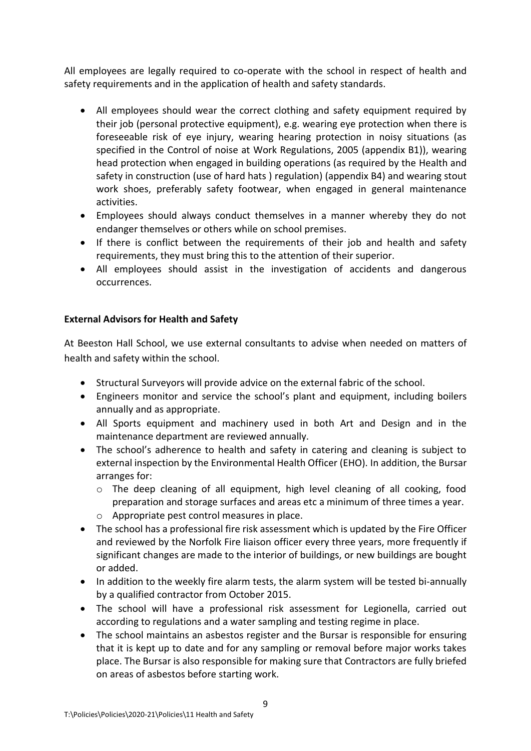All employees are legally required to co-operate with the school in respect of health and safety requirements and in the application of health and safety standards.

- All employees should wear the correct clothing and safety equipment required by their job (personal protective equipment), e.g. wearing eye protection when there is foreseeable risk of eye injury, wearing hearing protection in noisy situations (as specified in the Control of noise at Work Regulations, 2005 (appendix B1)), wearing head protection when engaged in building operations (as required by the Health and safety in construction (use of hard hats ) regulation) (appendix B4) and wearing stout work shoes, preferably safety footwear, when engaged in general maintenance activities.
- Employees should always conduct themselves in a manner whereby they do not endanger themselves or others while on school premises.
- If there is conflict between the requirements of their job and health and safety requirements, they must bring this to the attention of their superior.
- All employees should assist in the investigation of accidents and dangerous occurrences.

## **External Advisors for Health and Safety**

At Beeston Hall School, we use external consultants to advise when needed on matters of health and safety within the school.

- Structural Surveyors will provide advice on the external fabric of the school.
- Engineers monitor and service the school's plant and equipment, including boilers annually and as appropriate.
- All Sports equipment and machinery used in both Art and Design and in the maintenance department are reviewed annually.
- The school's adherence to health and safety in catering and cleaning is subject to external inspection by the Environmental Health Officer (EHO). In addition, the Bursar arranges for:
	- o The deep cleaning of all equipment, high level cleaning of all cooking, food preparation and storage surfaces and areas etc a minimum of three times a year.
	- o Appropriate pest control measures in place.
- The school has a professional fire risk assessment which is updated by the Fire Officer and reviewed by the Norfolk Fire liaison officer every three years, more frequently if significant changes are made to the interior of buildings, or new buildings are bought or added.
- In addition to the weekly fire alarm tests, the alarm system will be tested bi-annually by a qualified contractor from October 2015.
- The school will have a professional risk assessment for Legionella, carried out according to regulations and a water sampling and testing regime in place.
- The school maintains an asbestos register and the Bursar is responsible for ensuring that it is kept up to date and for any sampling or removal before major works takes place. The Bursar is also responsible for making sure that Contractors are fully briefed on areas of asbestos before starting work.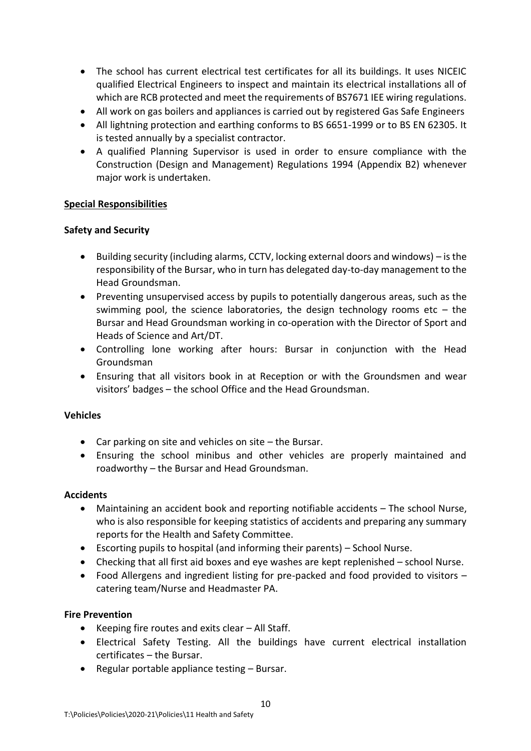- The school has current electrical test certificates for all its buildings. It uses NICEIC qualified Electrical Engineers to inspect and maintain its electrical installations all of which are RCB protected and meet the requirements of BS7671 IEE wiring regulations.
- All work on gas boilers and appliances is carried out by registered Gas Safe Engineers
- All lightning protection and earthing conforms to BS 6651-1999 or to BS EN 62305. It is tested annually by a specialist contractor.
- A qualified Planning Supervisor is used in order to ensure compliance with the Construction (Design and Management) Regulations 1994 (Appendix B2) whenever major work is undertaken.

#### **Special Responsibilities**

#### **Safety and Security**

- Building security (including alarms, CCTV, locking external doors and windows) is the responsibility of the Bursar, who in turn has delegated day-to-day management to the Head Groundsman.
- Preventing unsupervised access by pupils to potentially dangerous areas, such as the swimming pool, the science laboratories, the design technology rooms etc  $-$  the Bursar and Head Groundsman working in co-operation with the Director of Sport and Heads of Science and Art/DT.
- Controlling lone working after hours: Bursar in conjunction with the Head Groundsman
- Ensuring that all visitors book in at Reception or with the Groundsmen and wear visitors' badges – the school Office and the Head Groundsman.

#### **Vehicles**

- Car parking on site and vehicles on site the Bursar.
- Ensuring the school minibus and other vehicles are properly maintained and roadworthy – the Bursar and Head Groundsman.

#### **Accidents**

- Maintaining an accident book and reporting notifiable accidents The school Nurse, who is also responsible for keeping statistics of accidents and preparing any summary reports for the Health and Safety Committee.
- Escorting pupils to hospital (and informing their parents) School Nurse.
- Checking that all first aid boxes and eye washes are kept replenished school Nurse.
- Food Allergens and ingredient listing for pre-packed and food provided to visitors catering team/Nurse and Headmaster PA.

#### **Fire Prevention**

- Keeping fire routes and exits clear All Staff.
- Electrical Safety Testing. All the buildings have current electrical installation certificates – the Bursar.
- Regular portable appliance testing Bursar.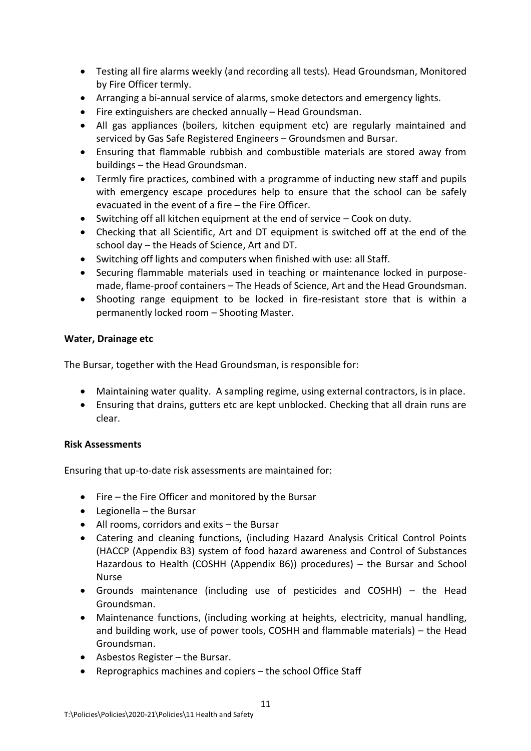- Testing all fire alarms weekly (and recording all tests). Head Groundsman, Monitored by Fire Officer termly.
- Arranging a bi-annual service of alarms, smoke detectors and emergency lights.
- Fire extinguishers are checked annually Head Groundsman.
- All gas appliances (boilers, kitchen equipment etc) are regularly maintained and serviced by Gas Safe Registered Engineers – Groundsmen and Bursar.
- Ensuring that flammable rubbish and combustible materials are stored away from buildings – the Head Groundsman.
- Termly fire practices, combined with a programme of inducting new staff and pupils with emergency escape procedures help to ensure that the school can be safely evacuated in the event of a fire – the Fire Officer.
- Switching off all kitchen equipment at the end of service Cook on duty.
- Checking that all Scientific, Art and DT equipment is switched off at the end of the school day – the Heads of Science, Art and DT.
- Switching off lights and computers when finished with use: all Staff.
- Securing flammable materials used in teaching or maintenance locked in purposemade, flame-proof containers – The Heads of Science, Art and the Head Groundsman.
- Shooting range equipment to be locked in fire-resistant store that is within a permanently locked room – Shooting Master.

#### **Water, Drainage etc**

The Bursar, together with the Head Groundsman, is responsible for:

- Maintaining water quality. A sampling regime, using external contractors, is in place.
- Ensuring that drains, gutters etc are kept unblocked. Checking that all drain runs are clear.

#### **Risk Assessments**

Ensuring that up-to-date risk assessments are maintained for:

- Fire the Fire Officer and monitored by the Bursar
- Legionella the Bursar
- All rooms, corridors and exits the Bursar
- Catering and cleaning functions, (including Hazard Analysis Critical Control Points (HACCP (Appendix B3) system of food hazard awareness and Control of Substances Hazardous to Health (COSHH (Appendix B6)) procedures) – the Bursar and School Nurse
- Grounds maintenance (including use of pesticides and COSHH) the Head Groundsman.
- Maintenance functions, (including working at heights, electricity, manual handling, and building work, use of power tools, COSHH and flammable materials) – the Head Groundsman.
- Asbestos Register the Bursar.
- Reprographics machines and copiers the school Office Staff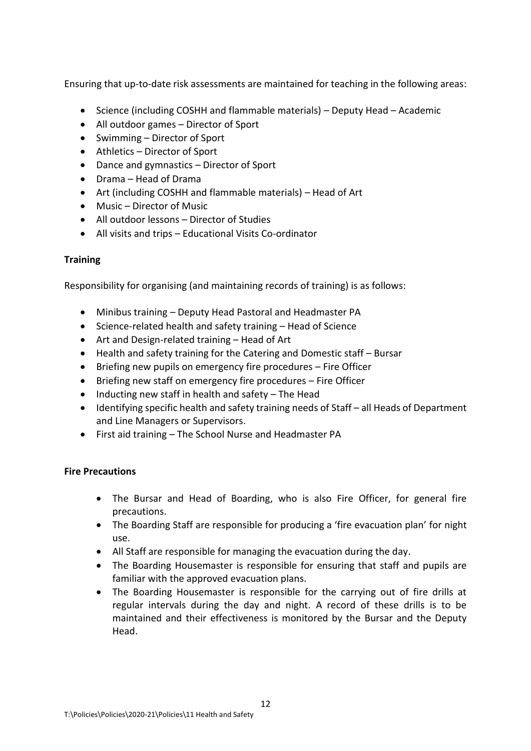Ensuring that up-to-date risk assessments are maintained for teaching in the following areas:

- Science (including COSHH and flammable materials) Deputy Head Academic
- All outdoor games Director of Sport
- Swimming Director of Sport
- Athletics Director of Sport
- Dance and gymnastics Director of Sport
- Drama Head of Drama
- Art (including COSHH and flammable materials) Head of Art
- Music Director of Music
- All outdoor lessons Director of Studies
- All visits and trips Educational Visits Co-ordinator

## **Training**

Responsibility for organising (and maintaining records of training) is as follows:

- Minibus training Deputy Head Pastoral and Headmaster PA
- Science-related health and safety training Head of Science
- Art and Design-related training Head of Art
- Health and safety training for the Catering and Domestic staff Bursar
- Briefing new pupils on emergency fire procedures Fire Officer
- Briefing new staff on emergency fire procedures Fire Officer
- Inducting new staff in health and safety The Head
- Identifying specific health and safety training needs of Staff all Heads of Department and Line Managers or Supervisors.
- First aid training The School Nurse and Headmaster PA

## **Fire Precautions**

- The Bursar and Head of Boarding, who is also Fire Officer, for general fire precautions.
- The Boarding Staff are responsible for producing a 'fire evacuation plan' for night use.
- All Staff are responsible for managing the evacuation during the day.
- The Boarding Housemaster is responsible for ensuring that staff and pupils are familiar with the approved evacuation plans.
- The Boarding Housemaster is responsible for the carrying out of fire drills at regular intervals during the day and night. A record of these drills is to be maintained and their effectiveness is monitored by the Bursar and the Deputy Head.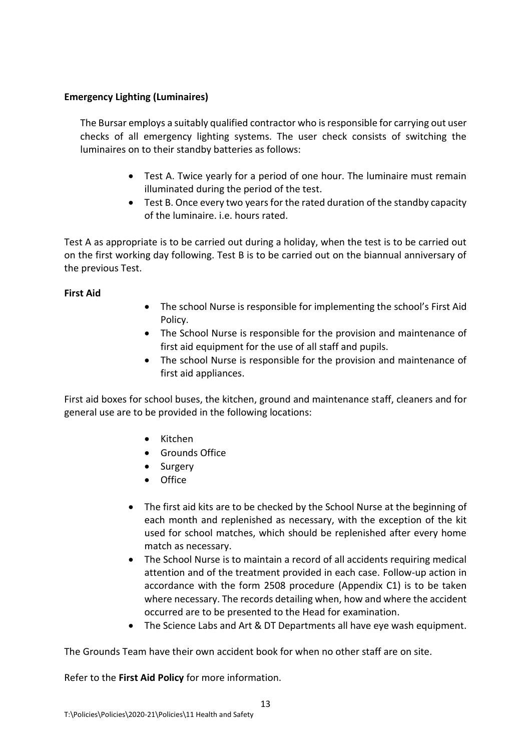## **Emergency Lighting (Luminaires)**

The Bursar employs a suitably qualified contractor who isresponsible for carrying out user checks of all emergency lighting systems. The user check consists of switching the luminaires on to their standby batteries as follows:

- Test A. Twice yearly for a period of one hour. The luminaire must remain illuminated during the period of the test.
- Test B. Once every two years for the rated duration of the standby capacity of the luminaire. i.e. hours rated.

Test A as appropriate is to be carried out during a holiday, when the test is to be carried out on the first working day following. Test B is to be carried out on the biannual anniversary of the previous Test.

## **First Aid**

- The school Nurse is responsible for implementing the school's First Aid Policy.
- The School Nurse is responsible for the provision and maintenance of first aid equipment for the use of all staff and pupils.
- The school Nurse is responsible for the provision and maintenance of first aid appliances.

First aid boxes for school buses, the kitchen, ground and maintenance staff, cleaners and for general use are to be provided in the following locations:

- Kitchen
- Grounds Office
- Surgery
- Office
- The first aid kits are to be checked by the School Nurse at the beginning of each month and replenished as necessary, with the exception of the kit used for school matches, which should be replenished after every home match as necessary.
- The School Nurse is to maintain a record of all accidents requiring medical attention and of the treatment provided in each case. Follow-up action in accordance with the form 2508 procedure (Appendix C1) is to be taken where necessary. The records detailing when, how and where the accident occurred are to be presented to the Head for examination.
- The Science Labs and Art & DT Departments all have eye wash equipment.

The Grounds Team have their own accident book for when no other staff are on site.

Refer to the **First Aid Policy** for more information.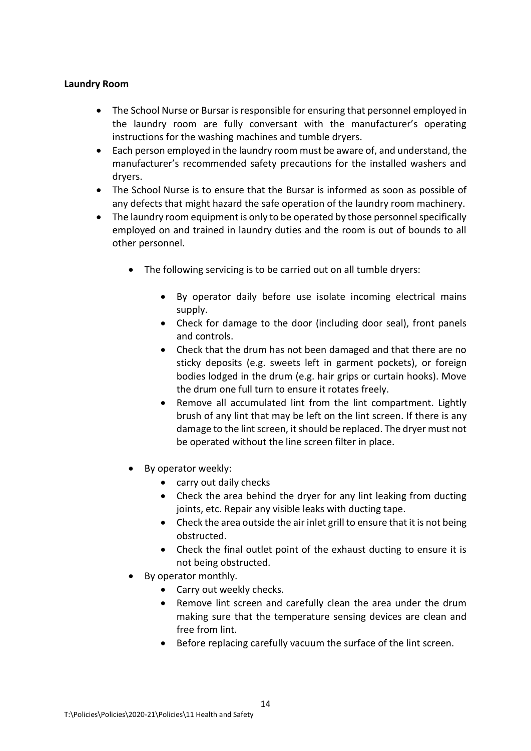#### **Laundry Room**

- The School Nurse or Bursar is responsible for ensuring that personnel employed in the laundry room are fully conversant with the manufacturer's operating instructions for the washing machines and tumble dryers.
- Each person employed in the laundry room must be aware of, and understand, the manufacturer's recommended safety precautions for the installed washers and dryers.
- The School Nurse is to ensure that the Bursar is informed as soon as possible of any defects that might hazard the safe operation of the laundry room machinery.
- The laundry room equipment is only to be operated by those personnel specifically employed on and trained in laundry duties and the room is out of bounds to all other personnel.
	- The following servicing is to be carried out on all tumble dryers:
		- By operator daily before use isolate incoming electrical mains supply.
		- Check for damage to the door (including door seal), front panels and controls.
		- Check that the drum has not been damaged and that there are no sticky deposits (e.g. sweets left in garment pockets), or foreign bodies lodged in the drum (e.g. hair grips or curtain hooks). Move the drum one full turn to ensure it rotates freely.
		- Remove all accumulated lint from the lint compartment. Lightly brush of any lint that may be left on the lint screen. If there is any damage to the lint screen, it should be replaced. The dryer must not be operated without the line screen filter in place.
	- By operator weekly:
		- carry out daily checks
		- Check the area behind the dryer for any lint leaking from ducting joints, etc. Repair any visible leaks with ducting tape.
		- Check the area outside the air inlet grill to ensure that it is not being obstructed.
		- Check the final outlet point of the exhaust ducting to ensure it is not being obstructed.
	- By operator monthly.
		- Carry out weekly checks.
		- Remove lint screen and carefully clean the area under the drum making sure that the temperature sensing devices are clean and free from lint.
		- Before replacing carefully vacuum the surface of the lint screen.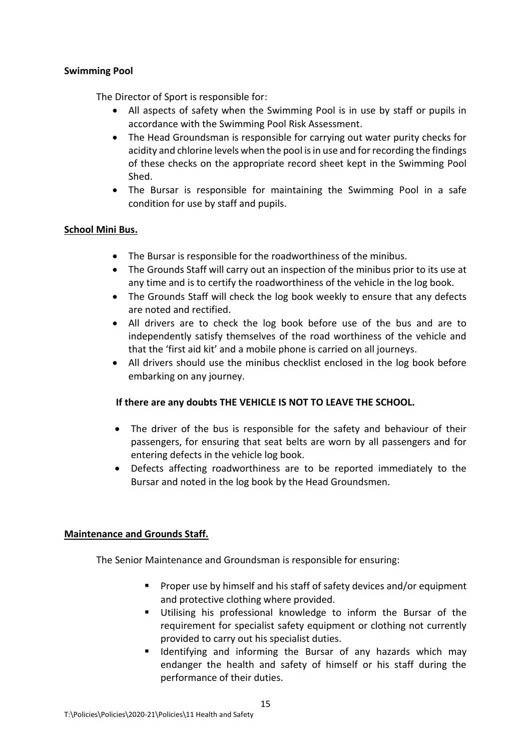### **Swimming Pool**

The Director of Sport is responsible for:

- All aspects of safety when the Swimming Pool is in use by staff or pupils in accordance with the Swimming Pool Risk Assessment.
- The Head Groundsman is responsible for carrying out water purity checks for acidity and chlorine levels when the pool is in use and for recording the findings of these checks on the appropriate record sheet kept in the Swimming Pool Shed.
- The Bursar is responsible for maintaining the Swimming Pool in a safe condition for use by staff and pupils.

#### **School Mini Bus.**

- The Bursar is responsible for the roadworthiness of the minibus.
- The Grounds Staff will carry out an inspection of the minibus prior to its use at any time and is to certify the roadworthiness of the vehicle in the log book.
- The Grounds Staff will check the log book weekly to ensure that any defects are noted and rectified.
- All drivers are to check the log book before use of the bus and are to independently satisfy themselves of the road worthiness of the vehicle and that the 'first aid kit' and a mobile phone is carried on all journeys.
- All drivers should use the minibus checklist enclosed in the log book before embarking on any journey.

#### **If there are any doubts THE VEHICLE IS NOT TO LEAVE THE SCHOOL.**

- The driver of the bus is responsible for the safety and behaviour of their passengers, for ensuring that seat belts are worn by all passengers and for entering defects in the vehicle log book.
- Defects affecting roadworthiness are to be reported immediately to the Bursar and noted in the log book by the Head Groundsmen.

#### **Maintenance and Grounds Staff.**

The Senior Maintenance and Groundsman is responsible for ensuring:

- Proper use by himself and his staff of safety devices and/or equipment and protective clothing where provided.
- Utilising his professional knowledge to inform the Bursar of the requirement for specialist safety equipment or clothing not currently provided to carry out his specialist duties.
- Identifying and informing the Bursar of any hazards which may endanger the health and safety of himself or his staff during the performance of their duties.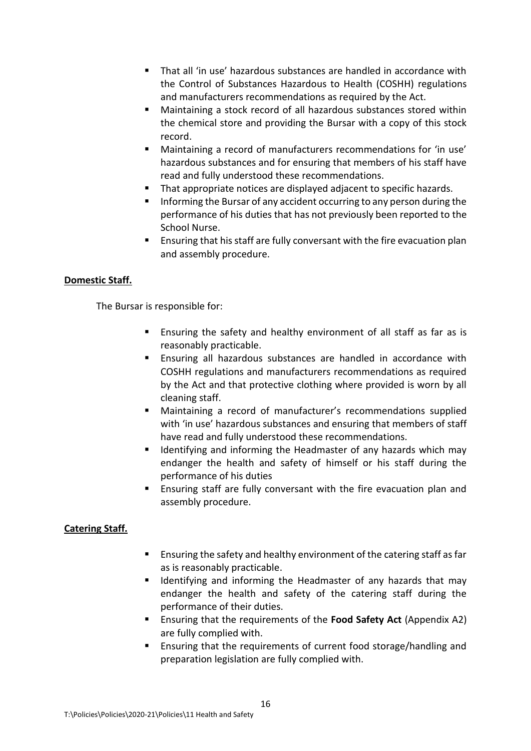- That all 'in use' hazardous substances are handled in accordance with the Control of Substances Hazardous to Health (COSHH) regulations and manufacturers recommendations as required by the Act.
- Maintaining a stock record of all hazardous substances stored within the chemical store and providing the Bursar with a copy of this stock record.
- Maintaining a record of manufacturers recommendations for 'in use' hazardous substances and for ensuring that members of his staff have read and fully understood these recommendations.
- That appropriate notices are displayed adjacent to specific hazards.
- Informing the Bursar of any accident occurring to any person during the performance of his duties that has not previously been reported to the School Nurse.
- Ensuring that his staff are fully conversant with the fire evacuation plan and assembly procedure.

## **Domestic Staff.**

The Bursar is responsible for:

- Ensuring the safety and healthy environment of all staff as far as is reasonably practicable.
- Ensuring all hazardous substances are handled in accordance with COSHH regulations and manufacturers recommendations as required by the Act and that protective clothing where provided is worn by all cleaning staff.
- Maintaining a record of manufacturer's recommendations supplied with 'in use' hazardous substances and ensuring that members of staff have read and fully understood these recommendations.
- Identifying and informing the Headmaster of any hazards which may endanger the health and safety of himself or his staff during the performance of his duties
- Ensuring staff are fully conversant with the fire evacuation plan and assembly procedure.

## **Catering Staff.**

- Ensuring the safety and healthy environment of the catering staff as far as is reasonably practicable.
- Identifying and informing the Headmaster of any hazards that may endanger the health and safety of the catering staff during the performance of their duties.
- Ensuring that the requirements of the **Food Safety Act** (Appendix A2) are fully complied with.
- Ensuring that the requirements of current food storage/handling and preparation legislation are fully complied with.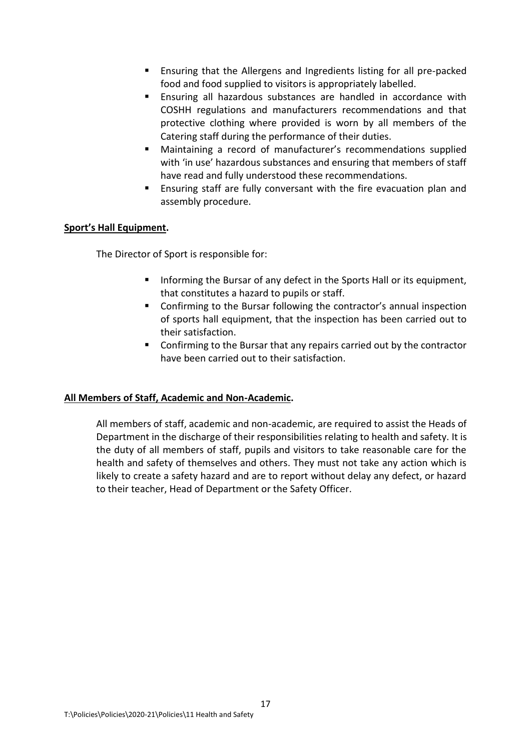- Ensuring that the Allergens and Ingredients listing for all pre-packed food and food supplied to visitors is appropriately labelled.
- Ensuring all hazardous substances are handled in accordance with COSHH regulations and manufacturers recommendations and that protective clothing where provided is worn by all members of the Catering staff during the performance of their duties.
- Maintaining a record of manufacturer's recommendations supplied with 'in use' hazardous substances and ensuring that members of staff have read and fully understood these recommendations.
- Ensuring staff are fully conversant with the fire evacuation plan and assembly procedure.

## **Sport's Hall Equipment.**

The Director of Sport is responsible for:

- Informing the Bursar of any defect in the Sports Hall or its equipment, that constitutes a hazard to pupils or staff.
- Confirming to the Bursar following the contractor's annual inspection of sports hall equipment, that the inspection has been carried out to their satisfaction.
- Confirming to the Bursar that any repairs carried out by the contractor have been carried out to their satisfaction.

#### **All Members of Staff, Academic and Non-Academic.**

All members of staff, academic and non-academic, are required to assist the Heads of Department in the discharge of their responsibilities relating to health and safety. It is the duty of all members of staff, pupils and visitors to take reasonable care for the health and safety of themselves and others. They must not take any action which is likely to create a safety hazard and are to report without delay any defect, or hazard to their teacher, Head of Department or the Safety Officer.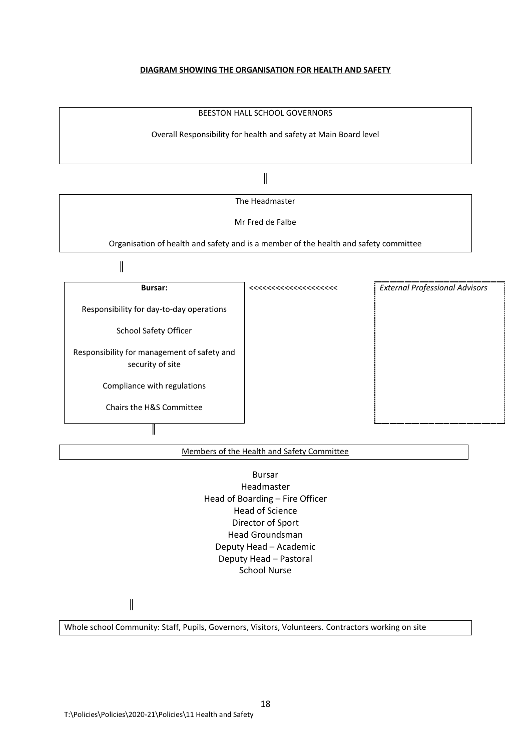#### **DIAGRAM SHOWING THE ORGANISATION FOR HEALTH AND SAFETY**



#### Members of the Health and Safety Committee

Bursar Headmaster Head of Boarding – Fire Officer Head of Science Director of Sport Head Groundsman Deputy Head – Academic Deputy Head – Pastoral School Nurse

║

Whole school Community: Staff, Pupils, Governors, Visitors, Volunteers. Contractors working on site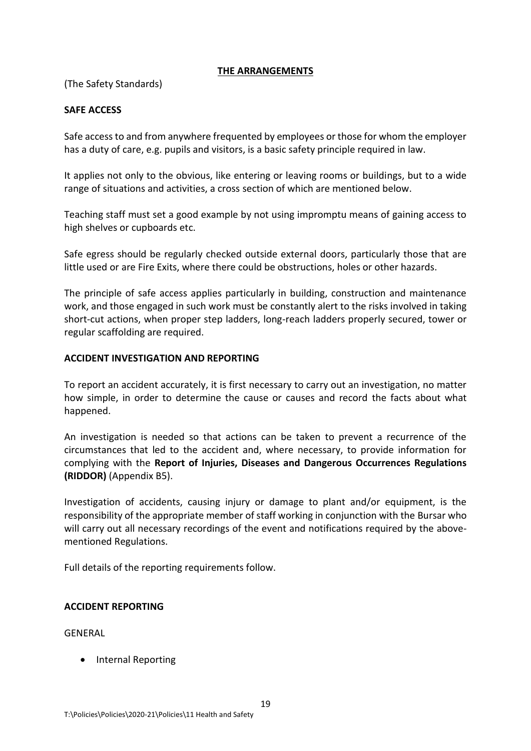#### **THE ARRANGEMENTS**

(The Safety Standards)

## **SAFE ACCESS**

Safe access to and from anywhere frequented by employees or those for whom the employer has a duty of care, e.g. pupils and visitors, is a basic safety principle required in law.

It applies not only to the obvious, like entering or leaving rooms or buildings, but to a wide range of situations and activities, a cross section of which are mentioned below.

Teaching staff must set a good example by not using impromptu means of gaining access to high shelves or cupboards etc.

Safe egress should be regularly checked outside external doors, particularly those that are little used or are Fire Exits, where there could be obstructions, holes or other hazards.

The principle of safe access applies particularly in building, construction and maintenance work, and those engaged in such work must be constantly alert to the risks involved in taking short-cut actions, when proper step ladders, long-reach ladders properly secured, tower or regular scaffolding are required.

#### **ACCIDENT INVESTIGATION AND REPORTING**

To report an accident accurately, it is first necessary to carry out an investigation, no matter how simple, in order to determine the cause or causes and record the facts about what happened.

An investigation is needed so that actions can be taken to prevent a recurrence of the circumstances that led to the accident and, where necessary, to provide information for complying with the **Report of Injuries, Diseases and Dangerous Occurrences Regulations (RIDDOR)** (Appendix B5).

Investigation of accidents, causing injury or damage to plant and/or equipment, is the responsibility of the appropriate member of staff working in conjunction with the Bursar who will carry out all necessary recordings of the event and notifications required by the abovementioned Regulations.

Full details of the reporting requirements follow.

#### **ACCIDENT REPORTING**

GENERAL

• Internal Reporting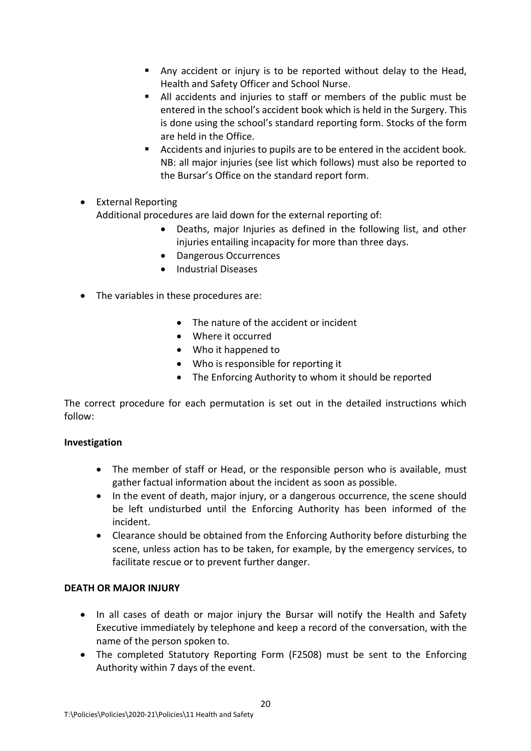- Any accident or injury is to be reported without delay to the Head, Health and Safety Officer and School Nurse.
- All accidents and injuries to staff or members of the public must be entered in the school's accident book which is held in the Surgery. This is done using the school's standard reporting form. Stocks of the form are held in the Office.
- Accidents and injuries to pupils are to be entered in the accident book. NB: all major injuries (see list which follows) must also be reported to the Bursar's Office on the standard report form.
- External Reporting Additional procedures are laid down for the external reporting of:
	- Deaths, major Injuries as defined in the following list, and other injuries entailing incapacity for more than three days.
	- Dangerous Occurrences
	- Industrial Diseases
- The variables in these procedures are:
	- The nature of the accident or incident
	- Where it occurred
	- Who it happened to
	- Who is responsible for reporting it
	- The Enforcing Authority to whom it should be reported

The correct procedure for each permutation is set out in the detailed instructions which follow:

#### **Investigation**

- The member of staff or Head, or the responsible person who is available, must gather factual information about the incident as soon as possible.
- In the event of death, major injury, or a dangerous occurrence, the scene should be left undisturbed until the Enforcing Authority has been informed of the incident.
- Clearance should be obtained from the Enforcing Authority before disturbing the scene, unless action has to be taken, for example, by the emergency services, to facilitate rescue or to prevent further danger.

## **DEATH OR MAJOR INJURY**

- In all cases of death or major injury the Bursar will notify the Health and Safety Executive immediately by telephone and keep a record of the conversation, with the name of the person spoken to.
- The completed Statutory Reporting Form (F2508) must be sent to the Enforcing Authority within 7 days of the event.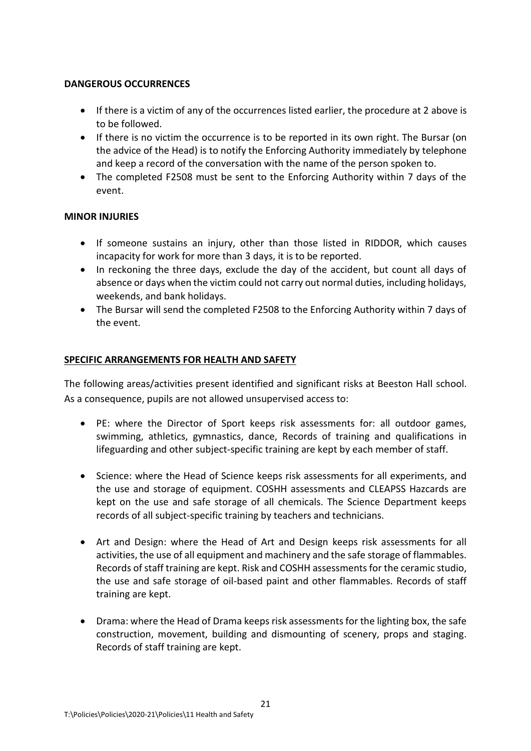## **DANGEROUS OCCURRENCES**

- If there is a victim of any of the occurrences listed earlier, the procedure at 2 above is to be followed.
- If there is no victim the occurrence is to be reported in its own right. The Bursar (on the advice of the Head) is to notify the Enforcing Authority immediately by telephone and keep a record of the conversation with the name of the person spoken to.
- The completed F2508 must be sent to the Enforcing Authority within 7 days of the event.

## **MINOR INJURIES**

- If someone sustains an injury, other than those listed in RIDDOR, which causes incapacity for work for more than 3 days, it is to be reported.
- In reckoning the three days, exclude the day of the accident, but count all days of absence or days when the victim could not carry out normal duties, including holidays, weekends, and bank holidays.
- The Bursar will send the completed F2508 to the Enforcing Authority within 7 days of the event.

## **SPECIFIC ARRANGEMENTS FOR HEALTH AND SAFETY**

The following areas/activities present identified and significant risks at Beeston Hall school. As a consequence, pupils are not allowed unsupervised access to:

- PE: where the Director of Sport keeps risk assessments for: all outdoor games, swimming, athletics, gymnastics, dance, Records of training and qualifications in lifeguarding and other subject-specific training are kept by each member of staff.
- Science: where the Head of Science keeps risk assessments for all experiments, and the use and storage of equipment. COSHH assessments and CLEAPSS Hazcards are kept on the use and safe storage of all chemicals. The Science Department keeps records of all subject-specific training by teachers and technicians.
- Art and Design: where the Head of Art and Design keeps risk assessments for all activities, the use of all equipment and machinery and the safe storage of flammables. Records of staff training are kept. Risk and COSHH assessments for the ceramic studio, the use and safe storage of oil-based paint and other flammables. Records of staff training are kept.
- Drama: where the Head of Drama keeps risk assessments for the lighting box, the safe construction, movement, building and dismounting of scenery, props and staging. Records of staff training are kept.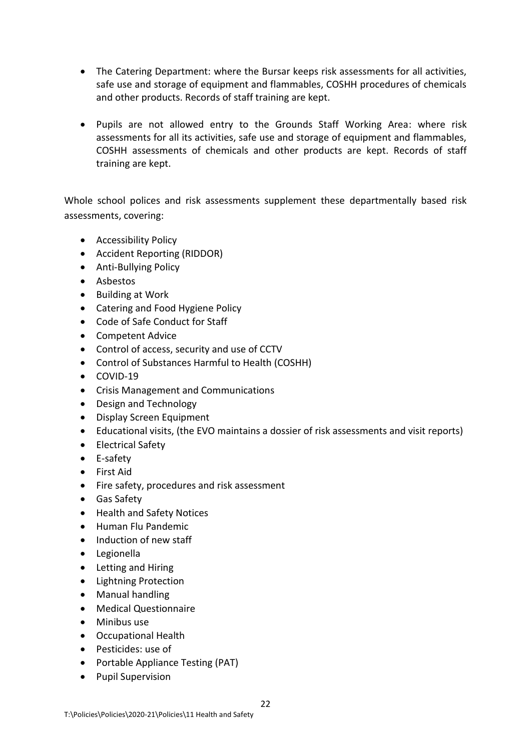- The Catering Department: where the Bursar keeps risk assessments for all activities, safe use and storage of equipment and flammables, COSHH procedures of chemicals and other products. Records of staff training are kept.
- Pupils are not allowed entry to the Grounds Staff Working Area: where risk assessments for all its activities, safe use and storage of equipment and flammables, COSHH assessments of chemicals and other products are kept. Records of staff training are kept.

Whole school polices and risk assessments supplement these departmentally based risk assessments, covering:

- Accessibility Policy
- Accident Reporting (RIDDOR)
- Anti-Bullying Policy
- Asbestos
- Building at Work
- Catering and Food Hygiene Policy
- Code of Safe Conduct for Staff
- Competent Advice
- Control of access, security and use of CCTV
- Control of Substances Harmful to Health (COSHH)
- COVID-19
- Crisis Management and Communications
- Design and Technology
- Display Screen Equipment
- Educational visits, (the EVO maintains a dossier of risk assessments and visit reports)
- Electrical Safety
- E-safety
- First Aid
- Fire safety, procedures and risk assessment
- Gas Safety
- Health and Safety Notices
- Human Flu Pandemic
- Induction of new staff
- Legionella
- Letting and Hiring
- Lightning Protection
- Manual handling
- Medical Questionnaire
- Minibus use
- Occupational Health
- Pesticides: use of
- Portable Appliance Testing (PAT)
- Pupil Supervision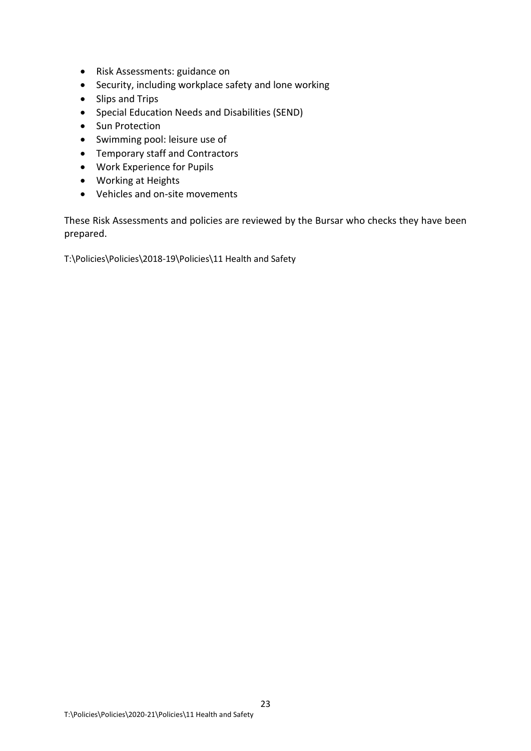- Risk Assessments: guidance on
- Security, including workplace safety and lone working
- Slips and Trips
- Special Education Needs and Disabilities (SEND)
- Sun Protection
- Swimming pool: leisure use of
- Temporary staff and Contractors
- Work Experience for Pupils
- Working at Heights
- Vehicles and on-site movements

These Risk Assessments and policies are reviewed by the Bursar who checks they have been prepared.

T:\Policies\Policies\2018-19\Policies\11 Health and Safety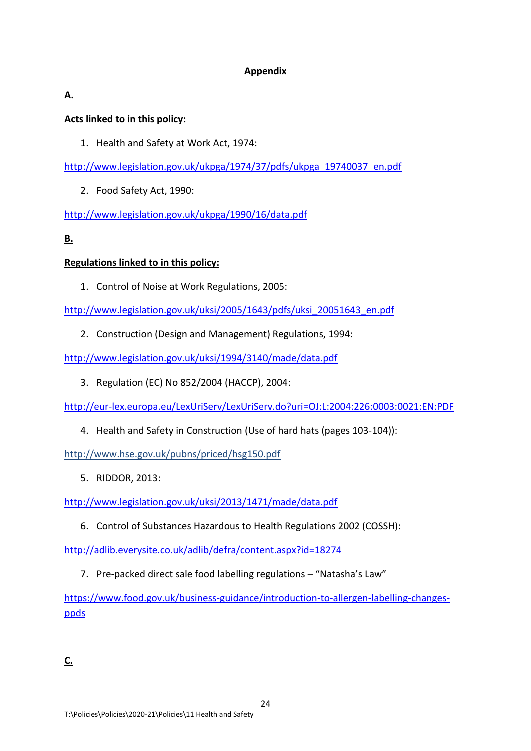## **Appendix**

## **A.**

## **Acts linked to in this policy:**

1. Health and Safety at Work Act, 1974:

[http://www.legislation.gov.uk/ukpga/1974/37/pdfs/ukpga\\_19740037\\_en.pdf](http://www.legislation.gov.uk/ukpga/1974/37/pdfs/ukpga_19740037_en.pdf)

2. Food Safety Act, 1990:

<http://www.legislation.gov.uk/ukpga/1990/16/data.pdf>

## **B.**

## **Regulations linked to in this policy:**

1. Control of Noise at Work Regulations, 2005:

[http://www.legislation.gov.uk/uksi/2005/1643/pdfs/uksi\\_20051643\\_en.pdf](http://www.legislation.gov.uk/uksi/2005/1643/pdfs/uksi_20051643_en.pdf)

2. Construction (Design and Management) Regulations, 1994:

<http://www.legislation.gov.uk/uksi/1994/3140/made/data.pdf>

3. Regulation (EC) No 852/2004 (HACCP), 2004:

<http://eur-lex.europa.eu/LexUriServ/LexUriServ.do?uri=OJ:L:2004:226:0003:0021:EN:PDF>

4. Health and Safety in Construction (Use of hard hats (pages 103-104)):

<http://www.hse.gov.uk/pubns/priced/hsg150.pdf>

5. RIDDOR, 2013:

<http://www.legislation.gov.uk/uksi/2013/1471/made/data.pdf>

6. Control of Substances Hazardous to Health Regulations 2002 (COSSH):

<http://adlib.everysite.co.uk/adlib/defra/content.aspx?id=18274>

7. Pre-packed direct sale food labelling regulations – "Natasha's Law"

https://www.food.gov.uk/business-guidance/introduction-to-allergen-labelling-changesppds

**C.**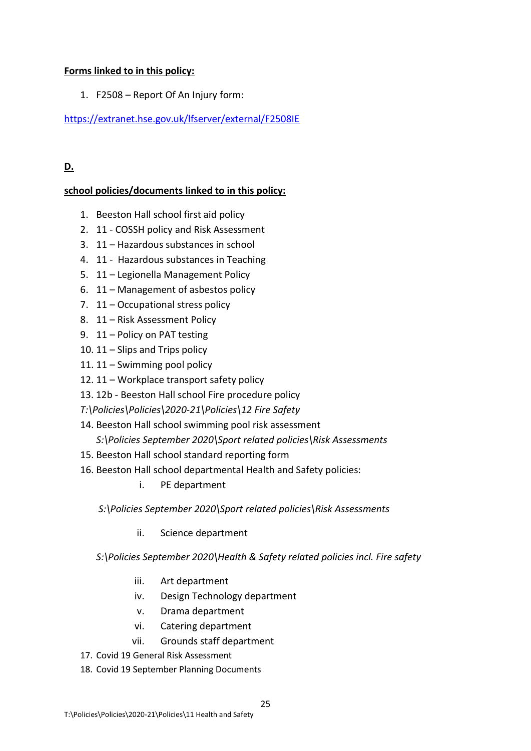## **Forms linked to in this policy:**

1. F2508 – Report Of An Injury form:

<https://extranet.hse.gov.uk/lfserver/external/F2508IE>

## **D.**

## **school policies/documents linked to in this policy:**

- 1. Beeston Hall school first aid policy
- 2. 11 COSSH policy and Risk Assessment
- 3. 11 Hazardous substances in school
- 4. 11 Hazardous substances in Teaching
- 5. 11 Legionella Management Policy
- 6. 11 Management of asbestos policy
- 7. 11 Occupational stress policy
- 8. 11 Risk Assessment Policy
- 9. 11 Policy on PAT testing
- 10. 11 Slips and Trips policy
- 11. 11 Swimming pool policy
- 12. 11 Workplace transport safety policy
- 13. 12b Beeston Hall school Fire procedure policy
- *T:\Policies\Policies\2020-21\Policies\12 Fire Safety*
- 14. Beeston Hall school swimming pool risk assessment *S:\Policies September 2020\Sport related policies\Risk Assessments*
- 15. Beeston Hall school standard reporting form
- 16. Beeston Hall school departmental Health and Safety policies:
	- i. PE department

*S:\Policies September 2020\Sport related policies\Risk Assessments*

- ii. Science department
- *S:\Policies September 2020\Health & Safety related policies incl. Fire safety*
	- iii. Art department
	- iv. Design Technology department
	- v. Drama department
	- vi. Catering department
	- vii. Grounds staff department
- 17. Covid 19 General Risk Assessment
- 18. Covid 19 September Planning Documents